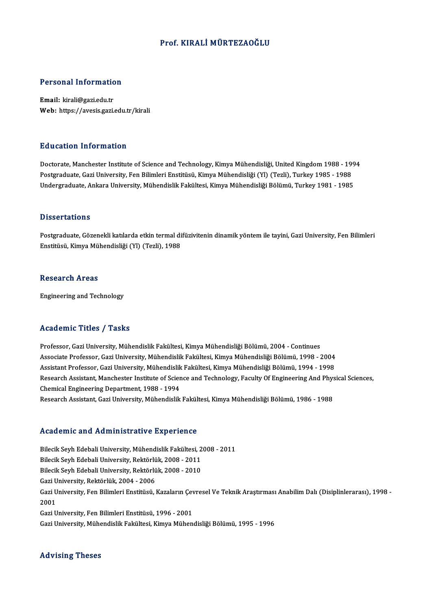#### Prof. KIRALİMÜRTEZAOĞLU

# Personal Information

Personal Informatio<br>Email: kirali@gazi.edu.tr<br>Web: https://ayasis.cari. Email: kirali@gazi.edu.tr<br>Web: https://avesis.gazi.edu.tr/kirali

#### Education Information

<mark>Education Information</mark><br>Doctorate, Manchester Institute of Science and Technology, Kimya Mühendisliği, United Kingdom 1988 - 1994<br>Postsraduate Cari University, Fen Bilimleri Enstitüsü, Kimya Mühendisliği, (VI) (Terli), Tur Pu u sutron "Informuation"<br>Doctorate, Manchester Institute of Science and Technology, Kimya Mühendisliği, United Kingdom 1988 - 19<br>Postgraduate, Gazi University, Fen Bilimleri Enstitüsü, Kimya Mühendisliği (Yl) (Tezli), Tu Postgraduate, Gazi University, Fen Bilimleri Enstitüsü, Kimya Mühendisliği (Yl) (Tezli), Turkey 1985 - 1988<br>Undergraduate, Ankara University, Mühendislik Fakültesi, Kimya Mühendisliği Bölümü, Turkey 1981 - 1985

#### **Dissertations**

Postgraduate, Gözenekli katılarda etkin termal difüzivitenin dinamik yöntem ile tayini, Gazi University, Fen Bilimleri Enstitüsü, Kimya Mühendisliği (Yl) (Tezli), 1988

#### **Research Areas**

Engineering and Technology

#### Academic Titles / Tasks

Academic Titles / Tasks<br>Professor, Gazi University, Mühendislik Fakültesi, Kimya Mühendisliği Bölümü, 2004 - Continues<br>Assesiste Prefessor, Cazi University, Mühendislik Fekültesi, Kimya Mühendisliği Bölümü, 1999, 7 Associate Artice 7 Austis<br>Professor, Gazi University, Mühendislik Fakültesi, Kimya Mühendisliği Bölümü, 2004 - Continues<br>Associate Professor, Gazi University, Mühendislik Fakültesi, Kimya Mühendisliği Bölümü, 1998 - 2004<br>A Professor, Gazi University, Mühendislik Fakültesi, Kimya Mühendisliği Bölümü, 2004 - Continues<br>Associate Professor, Gazi University, Mühendislik Fakültesi, Kimya Mühendisliği Bölümü, 1998 - 2004<br>Assistant Professor, Gazi U Associate Professor, Gazi University, Mühendislik Fakültesi, Kimya Mühendisliği Bölümü, 1998 - 2004<br>Assistant Professor, Gazi University, Mühendislik Fakültesi, Kimya Mühendisliği Bölümü, 1994 - 1998<br>Research Assistant, Ma Assistant Professor, Gazi University, Mühendislik<br>Research Assistant, Manchester Institute of Scier<br>Chemical Engineering Department, 1988 - 1994<br>Research Assistant, Gari University, Mühandislik Research Assistant, Gazi University, Mühendislik Fakültesi, Kimya Mühendisliği Bölümü, 1986 - 1988

#### Academic and Administrative Experience

Academic and Administrative Experience<br>Bilecik Seyh Edebali University, Mühendislik Fakültesi, 2008 - 2011<br>Bilecik Seyh Edebali University, Bektörlük 2008 - 2011 Bilecik Seyh Edebali University, Mühendislik Fakültesi, 2<br>Bilecik Seyh Edebali University, Nühendislik Fakültesi, 2<br>Bilecik Seyh Edebali University, Rektörlük, 2008 - 2010 Bilecik Seyh Edebali University, Mühendislik Fakültesi, 2<br>Bilecik Seyh Edebali University, Rektörlük, 2008 - 2011<br>Bilecik Seyh Edebali University, Rektörlük, 2008 - 2010<br>Ceri University, Bektörlük, 2004, 2006 Bilecik Seyh Edebali University, Rektörlü<br>Bilecik Seyh Edebali University, Rektörlü<br>Gazi University, Rektörlük, 2004 - 2006<br>Cazi University, Fen Bilimleri Enstitüsü Bilecik Seyh Edebali University, Rektörlük, 2008 - 2010<br>Gazi University, Rektörlük, 2004 - 2006<br>Gazi University, Fen Bilimleri Enstitüsü, Kazaların Çevresel Ve Teknik Araştırması Anabilim Dalı (Disiplinlerarası), 1998 -Gazi University, Rektörlük, 2004 - 2006<br>Gazi University, Fen Bilimleri Enstitüsü, Kazaların Çe<br>2001<br>Gazi University, Fen Bilimleri Enstitüsü, 1996 - 2001 Gazi University, Fen Bilimleri Enstitüsü, Kazaların Çev<br>2001<br>Gazi University, Fen Bilimleri Enstitüsü, 1996 - 2001<br>Cari University, Mühandislik Felsültesi, Kimua Mühan Gazi University, Mühendislik Fakültesi, Kimya Mühendisliği Bölümü, 1995 - 1996

#### Advising Theses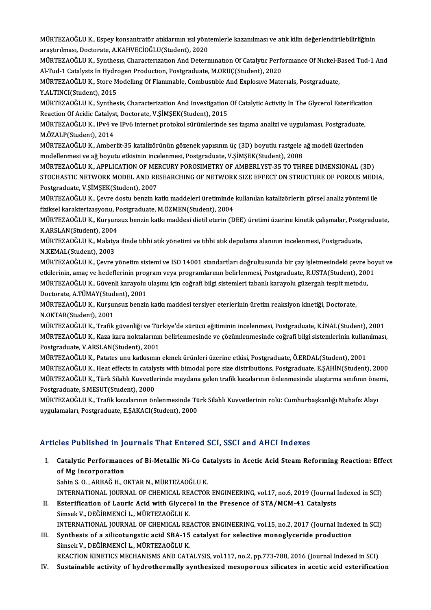MÜRTEZAOĞLU K., Espey konsantratör atıklarının ısıl yöntemlerle kazanılması ve atık kilin değerlendirilebilirliğinin<br>arastrulması, Destanata, A KAHVECİOĞLU(Student), 2020 MÜRTEZAOĞLU K., Espey konsantratör atıklarının ısıl yönt<br>araştırılması, Doctorate, A.KAHVECİOĞLU(Student), 2020<br>MÜRTEZAOĞLU K. Synthesis Gharastarısatan And Detarı MÜRTEZAOĞLU K., Espey konsantratör atıklarının ısıl yöntemlerle kazanılması ve atık kilin değerlendirilebilirliğinin<br>araştırılması, Doctorate, A.KAHVECİOĞLU(Student), 2020<br>MÜRTEZAOĞLU K., Synthesıs, Characterızatıon And De

araştırılması, Doctorate, A.KAHVECİOĞLU(Student), 2020<br>MÜRTEZAOĞLU K., Synthesıs, Characterization And Determination Of Catalytic Perfo<br>Al-Tud-1 Catalysts In Hydrogen Production, Postgraduate, M.ORUÇ(Student), 2020<br>MÜRTEZA MÜRTEZAOĞLU K., Synthesis, Characterization And Determination Of Catalytic Performance Of Nickel-Based Tud-1 And<br>Al-Tud-1 Catalysts In Hydrogen Production, Postgraduate, M.ORUÇ(Student), 2020<br>MÜRTEZAOĞLU K., Store Modellin

Al-Tud-1 Catalysts In Hydro<br>MÜRTEZAOĞLU K., Store M<br>Y.ALTINCI(Student), 2015<br>MÜRTEZAOĞLU K., Synthos MÜRTEZAOĞLU K., Store Modelling Of Flammable, Combustible And Explosive Materials, Postgraduate,<br>Y.ALTINCI(Student), 2015<br>MÜRTEZAOĞLU K., Synthesis, Characterization And Investigation Of Catalytic Activity In The Glycerol

Y.ALTINCI(Student), 2015<br>MÜRTEZAOĞLU K., Synthesis, Characterization And Investigation<br>Reaction Of Acidic Catalyst, Doctorate, V.ŞİMŞEK(Student), 2015<br>MÜRTEZAOĞLU K., IBv4 ve IBv6 internet pretakal sürümlerinde MÜRTEZAOĞLU K., Synthesis, Characterization And Investigation Of Catalytic Activity In The Glycerol Esterification<br>Reaction Of Acidic Catalyst, Doctorate, V.ŞİMŞEK(Student), 2015<br>MÜRTEZAOĞLU K., IPv4 ve IPv6 internet proto

Reaction Of Acidic Catalyst, Doctorate, V.ŞİMŞEK(Student), 2015<br>MÜRTEZAOĞLU K., IPv4 ve IPv6 internet protokol sürümlerinde ses taşıma analizi ve uygulaması, Postgraduate,<br>M.ÖZALP(Student), 2014 MÜRTEZAOĞLU K., IPv4 ve IPv6 internet protokol sürümlerinde ses taşıma analizi ve uygulaması, Postgraduate,<br>M.ÖZALP(Student), 2014<br>MÜRTEZAOĞLU K., Amberlit-35 katalizörünün gözenek yapısının üç (3D) boyutlu rastgele ağ mod

M.ÖZALP(Student), 2014<br>MÜRTEZAOĞLU K., Amberlit-35 katalizörünün gözenek yapısının üç (3D) boyutlu rastgele :<br>modellenmesi ve ağ boyutu etkisinin incelenmesi, Postgraduate, V.ŞİMŞEK(Student), 2008<br>MÜRTEZAOĞLU K. ARRLICATIO MÜRTEZAOĞLU K., Amberlit-35 katalizörünün gözenek yapısının üç (3D) boyutlu rastgele ağ modeli üzerinden<br>modellenmesi ve ağ boyutu etkisinin incelenmesi, Postgraduate, V.ŞİMŞEK(Student), 2008<br>MÜRTEZAOĞLU K., APPLICATION OF

modellenmesi ve ağ boyutu etkisinin incelenmesi, Postgraduate, V.ŞİMŞEK(Student), 2008<br>MÜRTEZAOĞLU K., APPLICATION OF MERCURY POROSIMETRY OF AMBERLYST-35 TO THREE DIMENSIONAL (3D)<br>STOCHASTIC NETWORK MODEL AND RESEARCHING O MÜRTEZAOĞLU K., APPLICATION OF ME<br>STOCHASTIC NETWORK MODEL AND RE<br>Postgraduate, V.ŞİMŞEK(Student), 2007<br>MÜRTEZAOĞLU K. Carra dastu bangin kı STOCHASTIC NETWORK MODEL AND RESEARCHING OF NETWORK SIZE EFFECT ON STRUCTURE OF POROUS MEDL<br>Postgraduate, V.ŞİMŞEK(Student), 2007<br>MÜRTEZAOĞLU K., Çevre dostu benzin katkı maddeleri üretiminde kullanılan katalizörlerin görs

Postgraduate, V.ŞİMŞEK(Student), 2007<br>MÜRTEZAOĞLU K., Çevre dostu benzin katkı maddeleri üretiminde<br>fiziksel karakterizasyonu, Postgraduate, M.ÖZMEN(Student), 2004<br>MÜRTEZAOĞLU K. Kursunsur benzin katkı maddasi distil stari MÜRTEZAOĞLU K., Çevre dostu benzin katkı maddeleri üretiminde kullanılan katalizörlerin görsel analiz yöntemi ile<br>fiziksel karakterizasyonu, Postgraduate, M.ÖZMEN(Student), 2004<br>MÜRTEZAOĞLU K., Kurşunsuz benzin katkı madde

fiziksel karakterizasyonu, Postgraduate, M.ÖZMEN(Student), 2004<br>MÜRTEZAOĞLU K., Kurşunsuz benzin katkı maddesi dietil eterin (DEE) üretimi üzerine kinetik çalışmalar, Postgraduate,<br>K.ARSLAN(Student), 2004 MÜRTEZAOĞLU K., Kurşunsuz benzin katkı maddesi dietil eterin (DEE) üretimi üzerine kinetik çalışmalar, Postg<br>K.ARSLAN(Student), 2004<br>MÜRTEZAOĞLU K., Malatya ilinde tıbbi atık yönetimi ve tıbbi atık depolama alanının incele

K.ARSLAN(Student), 2004<br>MÜRTEZAOĞLU K., Malaty<br>N.KEMAL(Student), 2003<br>MÜPTEZAOĞLU K., Garra 1

N.KEMAL(Student), 2003<br>MÜRTEZAOĞLU K., Çevre yönetim sistemi ve ISO 14001 standartları doğrultusunda bir çay işletmesindeki çevre boyut ve N.KEMAL(Student), 2003<br>MÜRTEZAOĞLU K., Çevre yönetim sistemi ve ISO 14001 standartları doğrultusunda bir çay işletmesindeki çevre boy<br>etkilerinin, amaç ve hedeflerinin program veya programlarının belirlenmesi, Postgraduate MÜRTEZAOĞLU K., Çevre yönetim sistemi ve ISO 14001 standartları doğrultusunda bir çay işletmesindeki çevre l<br>etkilerinin, amaç ve hedeflerinin program veya programlarının belirlenmesi, Postgraduate, R.USTA(Student), 200<br>MÜ etkilerinin, amaç ve hedeflerinin prog<br>MÜRTEZAOĞLU K., Güvenli karayolu<br>Doctorate, A.TÜMAY(Student), 2001<br>MÜPTEZAOĞLU K., Kursunsus bonsin

MÜRTEZAOĞLU K., Güvenli karayolu ulaşımı için coğrafi bilgi sistemleri tabanlı karayolu güzergah tespit metodu,<br>Doctorate, A.TÜMAY(Student), 2001<br>MÜRTEZAOĞLU K., Kurşunsuz benzin katkı maddesi tersiyer eterlerinin üretim r MÜRTEZAOĞLU K., Kurşunsuz benzin katkı maddesi tersiyer eterlerinin üretim reaksiyon kinetiği, Doctorate,

MÜRTEZAOĞLU K., Trafik güvenliği ve Türkiye'de sürücü eğitiminin incelenmesi, Postgraduate, K.İNAL(Student), 2001 N.OKTAR(Student), 2001<br>MÜRTEZAOĞLU K., Trafik güvenliği ve Türkiye'de sürücü eğitiminin incelenmesi, Postgraduate, K.İNAL(Student), 2001<br>MÜRTEZAOĞLU K., Kaza kara noktalarının belirlenmesinde ve çözümlenmesinde coğrafi bil MÜRTEZAOĞLU K., Trafik güvenliği ve Tür<br>MÜRTEZAOĞLU K., Kaza kara noktalarınır<br>Postgraduate, V.ARSLAN(Student), 2001<br>MÜRTEZAOĞLU K., Patates unu katlasının MÜRTEZAOĞLU K., Kaza kara noktalarının belirlenmesinde ve çözümlenmesinde coğrafi bilgi sistemlerinin kullan<br>Postgraduate, V.ARSLAN(Student), 2001<br>MÜRTEZAOĞLU K., Patates unu katkısının ekmek ürünleri üzerine etkisi, Postg

Postgraduate, V.ARSLAN(Student), 2001<br>MÜRTEZAOĞLU K., Patates unu katkısının ekmek ürünleri üzerine etkisi, Postgraduate, Ö.ERDAL(Student), 2001<br>MÜRTEZAOĞLU K., Heat effects in catalysts with bimodal pore size distribution MÜRTEZAOĞLU K., Patates unu katkısının ekmek ürünleri üzerine etkisi, Postgraduate, Ö.ERDAL(Student), 2001<br>MÜRTEZAOĞLU K., Heat effects in catalysts with bimodal pore size distributions, Postgraduate, E.ŞAHİN(Student), 200 MÜRTEZAOĞLU K., Heat effects in cataly<br>MÜRTEZAOĞLU K., Türk Silahlı Kuvvetle<br>Postgraduate, S.MESUT(Student), 2000<br>MÜRTEZAOĞLU K. Trafik karalannın ön MÜRTEZAOĞLU K., Türk Silahlı Kuvvetlerinde meydana gelen trafik kazalarının önlenmesinde ulaştırma sınıfının önemi,<br>Postgraduate, S.MESUT(Student), 2000<br>MÜRTEZAOĞLU K., Trafik kazalarının önlenmesinde Türk Silahlı Kuvvetle

MÜRTEZAOĞLU K., Trafik kazalarının önlenmesinde Türk Silahlı Kuvvetlerinin rolü: Cumhurbaşkanlığı Muhafız Alayı

#### Articles Published in Journals That Entered SCI, SSCI and AHCI Indexes

rticles Published in Journals That Entered SCI, SSCI and AHCI Indexes<br>I. Catalytic Performances of Bi-Metallic Ni-Co Catalysts in Acetic Acid Steam Reforming Reaction: Effect<br>of Ma Incorporation Except absolute in the<br>Catalytic Performanc<br>Sabin S.O., ABBAČ H.C Catalytic Performances of Bi-Metallic Ni-Co Ca<br>of Mg Incorporation<br>Sahin S. O. , ARBAĞ H., OKTAR N., MÜRTEZAOĞLU K.<br>INTERNATIONAL JOURNAL OF CHEMICAL REACTOR

of Mg Incorporation<br>Sahin S. O. , ARBAĞ H., OKTAR N., MÜRTEZAOĞLU K.<br>INTERNATIONAL JOURNAL OF CHEMICAL REACTOR ENGINEERING, vol.17, no.6, 2019 (Journal Indexed in SCI) Sahin S. O. , ARBAĞ H., OKTAR N., MÜRTEZAOĞLU K.<br>INTERNATIONAL JOURNAL OF CHEMICAL REACTOR ENGINEERING, vol.17, no.6, 2019 (Journal)<br>II. Esterification of Lauric Acid with Glycerol in the Presence of STA/MCM-41 Catalysts<br>S

- INTERNATIONAL JOURNAL OF CHEMICAL RE<br>Esterification of Lauric Acid with Glycer<br>Simsek V., DEĞİRMENCİ L., MÜRTEZAOĞLU K.<br>INTERNATIONAL JOURNAL OF CHEMICAL RE Esterification of Lauric Acid with Glycerol in the Presence of STA/MCM-41 Catalysts<br>Simsek V., DEĞİRMENCİ L., MÜRTEZAOĞLU K.<br>INTERNATIONAL JOURNAL OF CHEMICAL REACTOR ENGINEERING, vol.15, no.2, 2017 (Journal Indexed in SCI Simsek V., DEĞİRMENCİ L., MÜRTEZAOĞLU K.<br>INTERNATIONAL JOURNAL OF CHEMICAL REACTOR ENGINEERING, vol.15, no.2, 2017 (Journal Index<br>III. Synthesis of a silicotungstic acid SBA-15 catalyst for selective monoglyceride producti
- INTERNATIONAL JOURNAL OF CHEMICAL RE<br>Synthesis of a silicotungstic acid SBA-15<br>Simsek V., DEĞİRMENCİ L., MÜRTEZAOĞLU K.<br>PEACTION KINETICS MECHANISMS AND CAT. Synthesis of a silicotungstic acid SBA-15 catalyst for selective monoglyceride production<br>Simsek V., DEĞİRMENCİ L., MÜRTEZAOĞLU K.<br>REACTION KINETICS MECHANISMS AND CATALYSIS, vol.117, no.2, pp.773-788, 2016 (Journal Indexe Simsek V., DEĞİRMENCİ L., MÜRTEZAOĞLU K.<br>REACTION KINETICS MECHANISMS AND CATALYSIS, vol.117, no.2, pp.773-788, 2016 (Journal Indexed in SCI)<br>IV. Sustainable activity of hydrothermally synthesized mesoporous silicates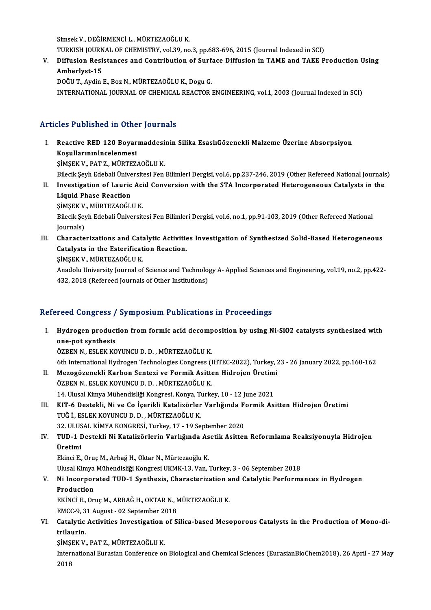SimsekV.,DEĞİRMENCİL.,MÜRTEZAOĞLUK.

Simsek V., DEĞİRMENCİ L., MÜRTEZAOĞLU K.<br>TURKISH JOURNAL OF CHEMISTRY, vol.39, no.3, pp.683-696, 2015 (Journal Indexed in SCI)<br>Diffusion Besistansse and Contribution of Surfase Diffusion in TAME and TAEE P

Simsek V., DEĞİRMENCİ L., MÜRTEZAOĞLU K.<br>TURKISH JOURNAL OF CHEMISTRY, vol.39, no.3, pp.683-696, 2015 (Journal Indexed in SCI)<br>V. Diffusion Resistances and Contribution of Surface Diffusion in TAME and TAEE Production TURKISH JOURN<br>Diffusion Resi<br>Amberlyst-15<br>DOČUT Ardin V. Diffusion Resistances and Contribution of Surface Diffusion in TAME and TAEE Production Using<br>Amberlyst-15<br>DOĞU T., Aydin E., Boz N., MÜRTEZAOĞLU K., Dogu G.

INTERNATIONAL JOURNAL OF CHEMICAL REACTOR ENGINEERING, vol.1, 2003 (Journal Indexed in SCI)

#### Articles Published in Other Journals

- rticles Published in Other Journals<br>I. Reactive RED 120 Boyarmaddesinin Silika EsaslıGözenekli Malzeme Üzerine Absorpsiyon<br>Kosullarınınİnaslanmesi XOS TUSHONOU IN OCHE<br>Reactive RED 120 Boyar<br>Koşullarınınİncelenmesi<br>SİMSEK V. PATZ MÜPTEZ Reactive RED 120 Boyarmaddesi<br>Koşullarınınİncelenmesi<br>ŞİMŞEK V., PAT Z., MÜRTEZAOĞLU K.<br>Bilesik Serh Edebeli Üniversitesi Fen Koşullarınınİncelenmesi<br>ŞİMŞEK V., PAT Z., MÜRTEZAOĞLU K.<br>Bilecik Şeyh Edebali Üniversitesi Fen Bilimleri Dergisi, vol.6, pp.237-246, 2019 (Other Refereed National Journals)<br>Investigation of Lauris Asid Conversion with the SIMSEK V., PAT Z., MÜRTEZAOĞLU K.<br>Bilecik Şeyh Edebali Üniversitesi Fen Bilimleri Dergisi, vol.6, pp.237-246, 2019 (Other Refereed National Journals<br>II. Investigation of Lauric Acid Conversion with the STA Incorporated Het Bilecik Şeyh Edebali Ünive<br>Investigation of Lauric<br>Liquid Phase Reaction<br>SiMSEK V. MÜRTEZAQÕL Investigation of Lauric Aci<br>Liquid Phase Reaction<br>ŞİMŞEK V., MÜRTEZAOĞLU K.<br>Bilosik Serh Edebali Ünivensit Bilecik Şeyh Edebali Üniversitesi Fen Bilimleri Dergisi, vol.6, no.1, pp.91-103, 2019 (Other Refereed National Journals) ŞİMŞEK V<br>Bilecik Şey<br>Journals)<br>Characta
- Bilecik Şeyh Edebali Üniversitesi Fen Bilimleri Dergisi, vol.6, no.1, pp.91-103, 2019 (Other Refereed National<br>Journals)<br>III. Characterizations and Catalytic Activities Investigation of Synthesized Solid-Based Heterogeneou Journals)<br>Characterizations and Catalytic Activitie<br>Catalysts in the Esterification Reaction.<br>SiMSEK V. MÜRTEZAQČLUK Characterizations and Cata<br>Catalysts in the Esterificat<br>ŞİMŞEK V., MÜRTEZAOĞLU K.<br>Anadolu University Journal of

Catalysts in the Esterification Reaction.<br>ŞİMŞEK V., MÜRTEZAOĞLU K.<br>Anadolu University Journal of Science and Technology A- Applied Sciences and Engineering, vol.19, no.2, pp.422-ŞİMŞEK V., MÜRTEZAOĞLU K.<br>Anadolu University Journal of Science and Technolo<sub>;</sub><br>432, 2018 (Refereed Journals of Other Institutions)

## 432, 2018 (Refereed Journals of Other Institutions)<br>Refereed Congress / Symposium Publications in Proceedings

efereed Congress / Symposium Publications in Proceedings<br>I. Hydrogen production from formic acid decomposition by using Ni-SiO2 catalysts synthesized with<br>Ana pat synthesis rood dongrossy<br>Hydrogen product<br>one-pot synthesis<br>ÖZREN N. ESI EV VO Hydrogen production from formic acid decomp<br>one-pot synthesis<br>ÖZBEN N., ESLEK KOYUNCU D. D. , MÜRTEZAOĞLU K.<br><sup>6th International Hydrogen Technologies Congress (1</sup> one-pot synthesis<br>ÖZBEN N., ESLEK KOYUNCU D. D. , MÜRTEZAOĞLU K.<br>6th International Hydrogen Technologies Congress (IHTEC-2022), Turkey, 23 - 26 January 2022, pp.160-162

- ÖZBEN N., ESLEK KOYUNCU D. D. , MÜRTEZAOĞLU K.<br>6th International Hydrogen Technologies Congress (IHTEC-2022), Turkey, 2<br>II. Mezogözenekli Karbon Sentezi ve Formik Asitten Hidrojen Üretimi<br>ÖZPEN N. ESLEK KOYUNCU D. D. MÜRTE ÖZBEN N., ESLEK KOYUNCU D. D. , MÜRTEZAOĞLU K.<br>14. Ulusal Kimya Mühendisliği Kongresi, Konya, Turkey, 10 - 12 June 2021 Mezogözenekli Karbon Sentezi ve Formik Asitten Hidrojen Üretim<br>ÖZBEN N., ESLEK KOYUNCU D. D. , MÜRTEZAOĞLU K.<br>14. Ulusal Kimya Mühendisliği Kongresi, Konya, Turkey, 10 - 12 June 2021<br>KIT 6 Destekli, Ni ve Co İserikli Katal ÖZBEN N., ESLEK KOYUNCU D. D. , MÜRTEZAOĞLU K.<br>14. Ulusal Kimya Mühendisliği Kongresi, Konya, Turkey, 10 - 12 June 2021<br>III. KIT-6 Destekli, Ni ve Co İçerikli Katalizörler Varlığında Formik Asitten Hidrojen Üretimi<br>TUĞ
- 14. Ulusal Kimya Mühendisliği Kongresi, Konya, T<br>KIT-6 Destekli, Ni ve Co İçerikli Katalizörler<br>TUĞ İ., ESLEK KOYUNCU D. D. , MÜRTEZAOĞLU K.<br>22. HURAL KİMYA KONGRESİ Turkey 17., 19 Se KIT-6 Destekli, Ni ve Co İçerikli Katalizörler Varlığında F<br>TUĞ İ., ESLEK KOYUNCU D. D. , MÜRTEZAOĞLU K.<br>32. ULUSAL KİMYA KONGRESİ, Turkey, 17 - 19 September 2020<br>TUD 1 Destekli Ni Katalizörlerin Varlığında Asetik Asitter TUĞ İ., ESLEK KOYUNCU D. D. , MÜRTEZAOĞLU K.<br>32. ULUSAL KİMYA KONGRESİ, Turkey, 17 - 19 September 2020<br>IV. TUD-1 Destekli Ni Katalizörlerin Varlığında Asetik Asitten Reformlama Reaksiyonuyla Hidrojen<br>İlratimi
- 32. ULUSAL KİMYA KONGRESİ, Turkey, 17 19 September 2020<br>TUD-1 Destekli Ni Katalizörlerin Varlığında Asetik Asitte<br>Üretimi<br>Ekinci E., Oruç M., Arbağ H., Oktar N., Mürtezaoğlu K. TUD-1 Destekli Ni Katalizörlerin Varlığında As<br>Üretimi<br>Ekinci E., Oruç M., Arbağ H., Oktar N., Mürtezaoğlu K.<br>Ulucel Kimua Mühandisliği Kongresi UKMK 13 Ven

Ulusal Kimya Mühendisliği Kongresi UKMK-13, Van, Turkey, 3 - 06 September 2018

### Ekinci E., Oruç M., Arbağ H., Oktar N., Mürtezaoğlu K.<br>Ulusal Kimya Mühendisliği Kongresi UKMK-13, Van, Turkey, 3 - 06 September 2018<br>V. Ni Incorporated TUD-1 Synthesis, Characterization and Catalytic Performances in H **Ulusal Kimya<br>Ni Incorpor<br>Production<br>EVINCLE Or**

Ni Incorporated TUD-1 Synthesis, Characterization a<br>Production<br>EKİNCİ E., Oruç M., ARBAĞ H., OKTAR N., MÜRTEZAOĞLU K.<br>EMCC 9.21 Aygust - 92 Sontamber 2018 Production<br>EKİNCİ E., Oruç M., ARBAĞ H., OKTAR N., I<br>EMCC-9, 31 August - 02 September 2018<br>Catalutie Activities Investisation of S

EKİNCİ E., Oruç M., ARBAĞ H., OKTAR N., MÜRTEZAOĞLU K.<br>EMCC-9, 31 August - 02 September 2018<br>VI. Catalytic Activities Investigation of Silica-based Mesoporous Catalysts in the Production of Mono-di-<br>trilourin EMCC-9, 3<br>Catalytic<br>trilaurin.<br>SiMSEK V Catalytic Activities Investigation<br>trilaurin.<br>ŞİMŞEK V., PAT Z., MÜRTEZAOĞLU K.<br>International Eurasian Conferense er

trilaurin.<br>ŞİMŞEK V., PAT Z., MÜRTEZAOĞLU K.<br>International Eurasian Conference on Biological and Chemical Sciences (EurasianBioChem2018), 26 April - 27 May<br>2018 ŞİMŞ<br>Inter<br>2018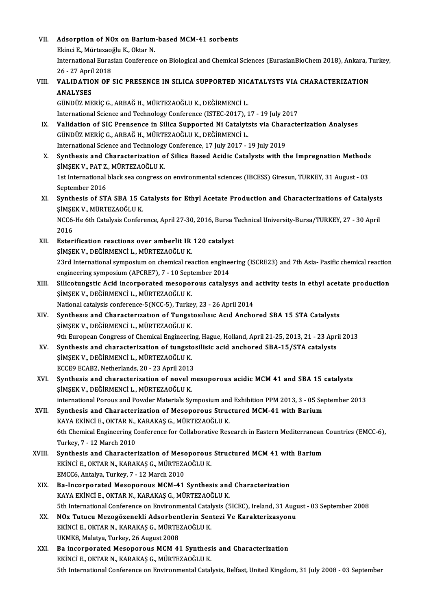VII. Adsorption of NOx on Barium-based MCM-41 sorbents

**Adsorption of NOx on Barium<br>Ekinci E., Mürtezaoğlu K., Oktar N.**<br>International Euregian Conferen*c*e Ekinci E., Mürtezaoğlu K., Oktar N.

International Eurasian Conference on Biological and Chemical Sciences (EurasianBioChem 2018), Ankara, Turkey,<br>26 - 27 April 2018 International Eurasian Conference on Biological and Chemical Sciences (EurasianBioChem 2018), Ankara, T<br>26 - 27 April 2018<br>VIII. VALIDATION OF SIC PRESENCE IN SILICA SUPPORTED NICATALYSTS VIA CHARACTERIZATION

### 26 - 27 April<br>**VALIDATIO<br>ANALYSES**<br>CÜNDÜZ ME

ANALYSES<br>GÜNDÜZ MERİÇ G., ARBAĞ H., MÜRTEZAOĞLU K., DEĞİRMENCİ L. ANALYSES<br>GÜNDÜZ MERİÇ G., ARBAĞ H., MÜRTEZAOĞLU K., DEĞİRMENCİ L.<br>International Science and Technology Conference (ISTEC-2017), 17 - 19 July 2017<br>Validation of SIG Pronsonse in Silise Sunnerted Ni Gatalytets via Gharasta GÜNDÜZ MERİÇ G., ARBAĞ H., MÜRTEZAOĞLU K., DEĞİRMENCİ L.<br>International Science and Technology Conference (ISTEC-2017), 17 - 19 July 2017<br>IX. Validation of SIC Prensence in Silica Supported Ni Catalytsts via Characterizatio

International Science and Technology Conference (ISTEC-2017), 1<br>Validation of SIC Prensence in Silica Supported Ni Catalyt:<br>GÜNDÜZ MERİÇ G., ARBAĞ H., MÜRTEZAOĞLU K., DEĞİRMENCİ L.<br>International Science and Technology Conf Validation of SIC Prensence in Silica Supported Ni Catalytsts via Char<br>GÜNDÜZ MERİÇ G., ARBAĞ H., MÜRTEZAOĞLU K., DEĞİRMENCİ L.<br>International Science and Technology Conference, 17 July 2017 - 19 July 2019<br>Synthosis and Cha GÜNDÜZ MERİÇ G., ARBAĞ H., MÜRTEZAOĞLU K., DEĞİRMENCİ L.<br>International Science and Technology Conference, 17 July 2017 - 19 July 2019<br>X. Synthesis and Characterization of Silica Based Acidic Catalysts with the Impregna

- ŞİMŞEKV.,PATZ.,MÜRTEZAOĞLUK. Synthesis and Characterization of Silica Based Acidic Catalysts with the Impregnation Methods<br>\$IM\$EK V., PAT Z., MÜRTEZAOĞLU K.<br>1st International black sea congress on environmental sciences (IBCESS) Giresun, TURKEY, 31 Au SIMSEK V., PAT Z.<br>1st International<br>September 2016<br>Synthesis of ST
- 1st International black sea congress on environmental sciences (IBCESS) Giresun, TURKEY, 31 August 03<br>September 2016<br>XI. Synthesis of STA SBA 15 Catalysts for Ethyl Acetate Production and Characterizations of Catalysts<br>S September 2016<br>Synthesis of STA SBA 15 C<br>ŞİMŞEK V., MÜRTEZAOĞLU K.<br>NGC6 He éth Catalusis Confor Synthesis of STA SBA 15 Catalysts for Ethyl Acetate Production and Characterizations of Catalysts<br>ŞİMŞEK V., MÜRTEZAOĞLU K.<br>NCC6-He 6th Catalysis Conference, April 27-30, 2016, Bursa Technical University-Bursa/TURKEY, 27 -

ŞİMŞEK V., MÜRTEZAOĞLU K.<br>NCC6-He 6th Catalysis Conference, April 27-30, 2016, Bursa Technical University-Bursa/TURKEY, 27 - 30 April<br>2016 NCC6-He 6th Catalysis Conference, April 27-30, 2016, Bursa<br>2016<br>XII. Esterification reactions over amberlit IR 120 catalyst<br>SIMSEL V. DEČIRMENCUL MÜRTEZAQČULLY

- 2016<br>Esterification reactions over amberlit IR<br>ŞİMŞEK V., DEĞİRMENCİ L., MÜRTEZAOĞLU K.<br>22rd International sumnesium en shemisal res 23rd International symposiumonchemical reactionengineering (ISCRE23) and 7thAsia-Pasific chemical reaction SIMSEK V., DEĞIRMENCİ L., MÜRTEZAOĞLU K.<br>23rd International symposium on chemical reaction engine<br>engineering symposium (APCRE7), 7 - 10 September 2014<br>Silisatungstis Asid insernarated mesenereus satelys 23rd International symposium on chemical reaction engineering (ISCRE23) and 7th Asia- Pasific chemical reaction<br>engineering symposium (APCRE7), 7 - 10 September 2014<br>XIII. Silicotungstic Acid incorporated mesoporous cataly
- engineering symposium (APCRE7), 7 10 Sept<br>Silicotungstic Acid incorporated mesopol<br>ŞİMŞEK V., DEĞİRMENCİ L., MÜRTEZAOĞLU K.<br>National estalysis sonforansa ECNCC E), Turka Silicotungstic Acid incorporated mesoporous catalysys and<br>SIMSEK V., DEĞİRMENCİ L., MÜRTEZAOĞLU K.<br>National catalysis conference-5(NCC-5), Turkey, 23 - 26 April 2014<br>Synthesis and Characterisation of Tungsteallisis Aaid An National catalysis conference-5(NCC-5), Turkey, 23 - 26 April 2014
- SİMŞEK V., DEĞİRMENCİ L., MÜRTEZAOĞLU K.<br>National catalysis conference-5(NCC-5), Turkey, 23 26 April 2014<br>XIV. Synthesis and Characterization of Tungstosilisic Acid Anchored SBA 15 STA Catalysts<br>SİMŞEK V., DEĞİRMENCİ L., Synthesis and Characterization of Tungstosilisic Acid Anchored SBA 15 STA Catalysts<br>ŞİMŞEK V., DEĞİRMENCİ L., MÜRTEZAOĞLU K.<br>9th European Congress of Chemical Engineering, Hague, Holland, April 21-25, 2013, 21 - 23 April 2 SIMSEK V., DEĞIRMENCI L., MÜRTEZAOĞLU K.<br>9th European Congress of Chemical Engineering, Hague, Holland, April 21-25, 2013, 21 - 23 Apr.<br>XV. Synthesis and characterization of tungstosilisic acid anchored SBA-15/STA catalyst
- 9th European Congress of Chemical Engineeri<br>Synthesis and characterization of tungsto<br>SIMSEK V., DEĞİRMENCİ L., MÜRTEZAOĞLU K. Synthesis and characterization of tungsto:<br>SiMSEK V., DEĞİRMENCİ L., MÜRTEZAOĞLU K.<br>ECCE9 ECAB2, Netherlands, 20 - 23 April 2013<br>Synthesis and shapesterization of nevel m SİMŞEK V., DEĞİRMENCİ L., MÜRTEZAOĞLU K.<br>ECCE9 ECAB2, Netherlands, 20 - 23 April 2013<br>XVI. Synthesis and characterization of novel mesoporous acidic MCM 41 and SBA 15 catalysts<br>SİMŞEK V., DEĞİRMENCİ L., MÜRTEZAOĞLU K.
- ECCE9 ECAB2, Netherlands, 20 23 April 2013<br>Synthesis and characterization of novel r<br>ŞİMŞEK V., DEĞİRMENCİ L., MÜRTEZAOĞLU K.<br>international Bereus and Beurler Materials Su Synthesis and characterization of novel mesoporous acidic MCM 41 and SBA 15 catalysts<br>ȘIMȘEK V., DEĞİRMENCİ L., MÜRTEZAOĞLU K.<br>international Porous and Powder Materials Symposium and Exhibition PPM 2013, 3 - 05 September 2 SIMSEK V., DEĞIRMENCI L., MÜRTEZAOĞLU K.<br>international Porous and Powder Materials Symposium and Exhibition PPM 2013, 3 - 05 Se<sub>l</sub><br>XVII. Synthesis and Characterization of Mesoporous Structured MCM-41 with Barium<br>KANA EKINC
- international Porous and Powder Materials Symposium and<br>Synthesis and Characterization of Mesoporous Struc<br>KAYA EKİNCİ E., OKTAR N., KARAKAŞ G., MÜRTEZAOĞLU K.<br>Eth Chamisal Engineering Conference for Collaborative Bes Synthesis and Characterization of Mesoporous Structured MCM-41 with Barium<br>KAYA EKİNCİ E., OKTAR N., KARAKAŞ G., MÜRTEZAOĞLU K.<br>6th Chemical Engineering Conference for Collaborative Research in Eastern Mediterranean Countr KAYA EKİNCİ E., OKTAR N.,<br>6th Chemical Engineering C<br>Turkey, 7 - 12 March 2010<br>Sunthosis and Character 6th Chemical Engineering Conference for Collaborative Research in Eastern Mediterranean<br>Turkey, 7 - 12 March 2010<br>XVIII. Synthesis and Characterization of Mesoporous Structured MCM 41 with Barium<br>EVINCLE OVTAR N. VARAVAS C
- Turkey, 7 12 March 2010<br>Synthesis and Characterization of Mesoporous<br>EKİNCİ E., OKTAR N., KARAKAŞ G., MÜRTEZAOĞLU K.<br>EMCCE Antakıa Turkey 7 12 Marsh 2010 Synthesis and Characterization of Mesc<br>EKİNCİ E., OKTAR N., KARAKAŞ G., MÜRTEZA<br>EMCC6, Antalya, Turkey, 7 - 12 March 2010<br>Pe Incornerated Mesconereus MCM 41 EKİNCİ E., OKTAR N., KARAKAŞ G., MÜRTEZAOĞLU K.<br>EMCC6, Antalya, Turkey, 7 - 12 March 2010<br>XIX. Ba-Incorporated Mesoporous MCM-41 Synthesis and Characterization<br>KAYA EKİNCİ E. OKTAR N. KARAKAŞ G. MÜRTEZAOĞLU K.
- EMCC6, Antalya, Turkey, 7 12 March 2010<br>Ba-Incorporated Mesoporous MCM-41 Synthesis and<br>KAYA EKİNCİ E., OKTAR N., KARAKAŞ G., MÜRTEZAOĞLU K.<br>Eth International Conference en Environmentel Cetalysis (E KAYA EKİNCİ E., OKTAR N., KARAKAŞ G., MÜRTEZAOĞLU K.<br>5th International Conference on Environmental Catalysis (5ICEC), Ireland, 31 August - 03 September 2008
- XX. NOx Tutucu Mezogözenekli Adsorbentlerin Sentezi Ve Karakterizasyonu 5th International Conference on Environmental Catal<br>NOx Tutucu Mezogözenekli Adsorbentlerin Sen<br>EKİNCİ E., OKTAR N., KARAKAŞ G., MÜRTEZAOĞLU K.<br>UKMK9 Malatya Turkay 26 August 2009 NOx Tutucu Mezogözenekli Adsorben<br>EKİNCİ E., OKTAR N., KARAKAŞ G., MÜRTE.<br>UKMK8, Malatya, Turkey, 26 August 2008<br>Pa insorporated Mesoporove MCM 42
- UKMK8, Malatya, Turkey, 26 August 2008<br>XXI. Ba incorporated Mesoporous MCM 41 Synthesis and Characterization EKİNCİE.,OKTARN.,KARAKAŞG.,MÜRTEZAOĞLUK. 5th International Conference on Environmental Catalysis, Belfast, United Kingdom, 31 July 2008 - 03 September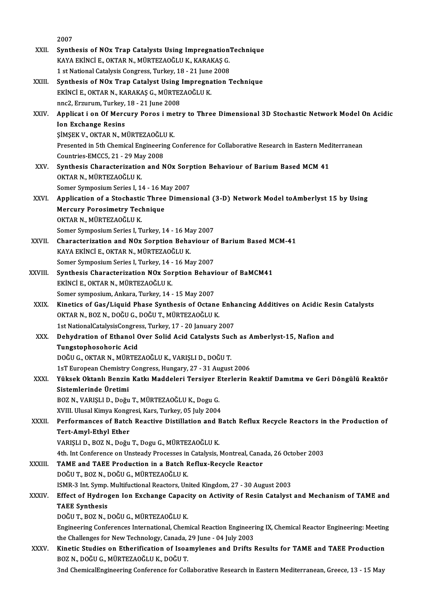|         | 2007                                                                                                                      |
|---------|---------------------------------------------------------------------------------------------------------------------------|
| XXII.   | Synthesis of NOx Trap Catalysts Using ImpregnationTechnique                                                               |
|         | KAYA EKİNCİ E., OKTAR N., MÜRTEZAOĞLU K., KARAKAŞ G.                                                                      |
|         | 1 st National Catalysis Congress, Turkey, 18 - 21 June 2008                                                               |
| XXIII.  | Synthesis of NOx Trap Catalyst Using Impregnation Technique                                                               |
|         | EKİNCİ E., OKTAR N., KARAKAŞ G., MÜRTEZAOĞLU K.                                                                           |
|         | nnc2, Erzurum, Turkey, 18 - 21 June 2008                                                                                  |
| XXIV.   | Applicat i on Of Mercury Poros i metry to Three Dimensional 3D Stochastic Network Model On Acidic                         |
|         | <b>Ion Exchange Resins</b>                                                                                                |
|         | ŞİMŞEK V., OKTAR N., MÜRTEZAOĞLU K.                                                                                       |
|         | Presented in 5th Chemical Engineering Conference for Collaborative Research in Eastern Mediterranean                      |
|         | Countries-EMCC5, 21 - 29 May 2008                                                                                         |
| XXV.    | Synthesis Characterization and NOx Sorption Behaviour of Barium Based MCM 41                                              |
|         | OKTAR N., MÜRTEZAOĞLU K.                                                                                                  |
|         | Somer Symposium Series I, 14 - 16 May 2007                                                                                |
| XXVI.   | Application of a Stochastic Three Dimensional (3-D) Network Model toAmberlyst 15 by Using                                 |
|         | <b>Mercury Porosimetry Technique</b>                                                                                      |
|         | OKTAR N., MÜRTEZAOĞLU K.                                                                                                  |
|         | Somer Symposium Series I, Turkey, 14 - 16 May 2007                                                                        |
| XXVII.  | Characterization and NOx Sorption Behaviour of Barium Based MCM-41                                                        |
|         | KAYA EKİNCİ E., OKTAR N., MÜRTEZAOĞLU K.                                                                                  |
|         | Somer Symposium Series I, Turkey, 14 - 16 May 2007                                                                        |
| XXVIII. | Synthesis Characterization NOx Sorption Behaviour of BaMCM41                                                              |
|         | EKİNCİ E, OKTAR N., MÜRTEZAOĞLU K.<br>Somer symposium, Ankara, Turkey, 14 - 15 May 2007                                   |
| XXIX.   | Kinetics of Gas/Liquid Phase Synthesis of Octane Enhancing Additives on Acidic Resin Catalysts                            |
|         | OKTAR N., BOZ N., DOĞU G., DOĞU T., MÜRTEZAOĞLU K.                                                                        |
|         | 1st NationalCatalysisCongress, Turkey, 17 - 20 January 2007                                                               |
| XXX.    | Dehydration of Ethanol Over Solid Acid Catalysts Such as Amberlyst-15, Nafion and                                         |
|         | Tungstophosohoric Acid                                                                                                    |
|         | DOĞU G., OKTAR N., MÜRTEZAOĞLU K., VARIŞLI D., DOĞU T.                                                                    |
|         | 1sT European Chemistry Congress, Hungary, 27 - 31 August 2006                                                             |
| XXXI.   | Yüksek Oktanlı Benzin Katkı Maddeleri Tersiyer Eterlerin Reaktif Damıtma ve Geri Döngülü Reaktör                          |
|         | Sistemlerinde Üretimi                                                                                                     |
|         | BOZ N., VARIȘLI D., Doğu T., MÜRTEZAOĞLU K., Dogu G.                                                                      |
|         | XVIII. Ulusal Kimya Kongresi, Kars, Turkey, 05 July 2004                                                                  |
| XXXII.  | Performances of Batch Reactive Distillation and Batch Reflux Recycle Reactors in the Production of                        |
|         | Tert-Amyl-Ethyl Ether                                                                                                     |
|         | VARIŞLI D., BOZ N., Doğu T., Dogu G., MÜRTEZAOĞLU K.                                                                      |
|         | 4th. Int Conference on Unsteady Processes in Catalysis, Montreal, Canada, 26 October 2003                                 |
| XXXIII. | TAME and TAEE Production in a Batch Reflux-Recycle Reactor                                                                |
|         | DOĞU T., BOZ N., DOĞU G., MÜRTEZAOĞLU K.                                                                                  |
|         | ISMR-3 Int. Symp. Multifuctional Reactors, United Kingdom, 27 - 30 August 2003                                            |
| XXXIV.  | Effect of Hydrogen Ion Exchange Capacity on Activity of Resin Catalyst and Mechanism of TAME and<br><b>TAEE Synthesis</b> |
|         | DOĞU T., BOZ N., DOĞU G., MÜRTEZAOĞLU K.                                                                                  |
|         | Engineering Conferences International, Chemical Reaction Engineering IX, Chemical Reactor Engineering: Meeting            |
|         | the Challenges for New Technology, Canada, 29 June - 04 July 2003                                                         |
| XXXV.   | Kinetic Studies on Etherification of Isoamylenes and Drifts Results for TAME and TAEE Production                          |
|         | BOZ N., DOĞU G., MÜRTEZAOĞLU K., DOĞU T.                                                                                  |
|         | 3nd ChemicalEngineering Conference for Collaborative Research in Eastern Mediterranean, Greece, 13 - 15 May               |
|         |                                                                                                                           |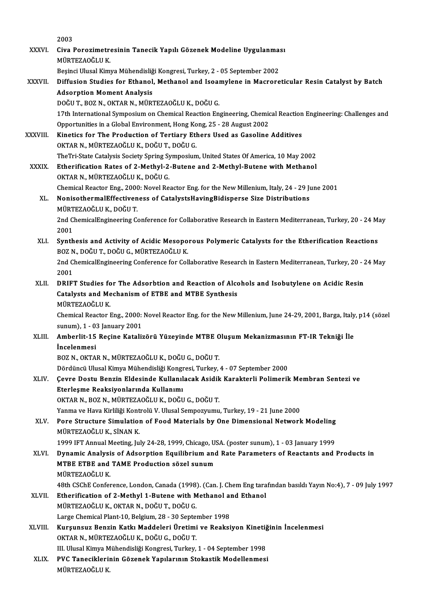|              | 2003                                                                                                                                                                                  |
|--------------|---------------------------------------------------------------------------------------------------------------------------------------------------------------------------------------|
| XXXVI.       | Civa Porozimetresinin Tanecik Yapılı Gözenek Modeline Uygulanması<br>MÜRTEZAOĞLU K.                                                                                                   |
|              | Beşinci Ulusal Kimya Mühendisliği Kongresi, Turkey, 2 - 05 September 2002                                                                                                             |
| XXXVII.      | Diffusion Studies for Ethanol, Methanol and Isoamylene in Macroreticular Resin Catalyst by Batch                                                                                      |
|              | <b>Adsorption Moment Analysis</b>                                                                                                                                                     |
|              | DOĞU T., BOZ N., OKTAR N., MÜRTEZAOĞLU K., DOĞU G.                                                                                                                                    |
|              | 17th International Symposium on Chemical Reaction Engineering, Chemical Reaction Engineering: Challenges and<br>Opportunities in a Global Environment, Hong Kong, 25 - 28 August 2002 |
| XXXVIII.     | Kinetics for The Production of Tertiary Ethers Used as Gasoline Additives                                                                                                             |
|              | OKTAR N., MÜRTEZAOĞLU K., DOĞU T., DOĞU G.                                                                                                                                            |
|              | TheTri-State Catalysis Society Spring Symposium, United States Of America, 10 May 2002                                                                                                |
| <b>XXXIX</b> | Etherification Rates of 2-Methyl-2-Butene and 2-Methyl-Butene with Methanol                                                                                                           |
|              | OKTAR N., MÜRTEZAOĞLU K., DOĞU G.                                                                                                                                                     |
|              | Chemical Reactor Eng., 2000: Novel Reactor Eng. for the New Millenium, Italy, 24 - 29 June 2001                                                                                       |
| XL.          | NonisothermalEffectiveness of CatalystsHavingBidisperse Size Distributions<br>MÜRTEZAOĞLU K, DOĞU T.                                                                                  |
|              | 2nd ChemicalEngineering Conference for Collaborative Research in Eastern Mediterranean, Turkey, 20 - 24 May                                                                           |
|              | 2001                                                                                                                                                                                  |
| XLI.         | Synthesis and Activity of Acidic Mesoporous Polymeric Catalysts for the Etherification Reactions                                                                                      |
|              | BOZ N., DOĞU T., DOĞU G., MÜRTEZAOĞLU K.                                                                                                                                              |
|              | 2nd ChemicalEngineering Conference for Collaborative Research in Eastern Mediterranean, Turkey, 20 - 24 May                                                                           |
|              | 2001                                                                                                                                                                                  |
| XLII.        | DRIFT Studies for The Adsorbtion and Reaction of Alcohols and Isobutylene on Acidic Resin                                                                                             |
|              | Catalysts and Mechanism of ETBE and MTBE Synthesis                                                                                                                                    |
|              | MÜRTEZAOĞLU K                                                                                                                                                                         |
|              | Chemical Reactor Eng., 2000: Novel Reactor Eng. for the New Millenium, June 24-29, 2001, Barga, Italy, p14 (sözel                                                                     |
|              | sunum), 1 - 03 January 2001                                                                                                                                                           |
| XLIII.       | Amberlit-15 Reçine Katalizörü Yüzeyinde MTBE Oluşum Mekanizmasının FT-IR Tekniği İle                                                                                                  |
|              | <i>incelenmesi</i>                                                                                                                                                                    |
|              | BOZ N., OKTAR N., MÜRTEZAOĞLU K., DOĞU G., DOĞU T.                                                                                                                                    |
|              | Dördüncü Ulusal Kimya Mühendisliği Kongresi, Turkey, 4 - 07 September 2000                                                                                                            |
| XLIV.        | Çevre Dostu Benzin Eldesinde Kullanılacak Asidik Karakterli Polimerik Membran Sentezi ve                                                                                              |
|              | Eterleşme Reaksiyonlarında Kullanımı<br>OKTAR N., BOZ N., MÜRTEZAOĞLU K., DOĞU G., DOĞU T.                                                                                            |
|              | Yanma ve Hava Kirliliği Kontrolü V. Ulusal Sempozyumu, Turkey, 19 - 21 June 2000                                                                                                      |
| XLV.         | Pore Structure Simulation of Food Materials by One Dimensional Network Modeling                                                                                                       |
|              | MÜRTEZAOĞLU K., SİNAN K.                                                                                                                                                              |
|              | 1999 IFT Annual Meeting, July 24-28, 1999, Chicago, USA. (poster sunum), 1 - 03 January 1999                                                                                          |
| XLVI.        | Dynamic Analysis of Adsorption Equilibrium and Rate Parameters of Reactants and Products in                                                                                           |
|              | MTBE ETBE and TAME Production sözel sunum                                                                                                                                             |
|              | MÜRTEZAOĞLU K.                                                                                                                                                                        |
|              | 48th CSChE Conference, London, Canada (1998). (Can. J. Chem Eng tarafından basıldı Yayın No:4), 7 - 09 July 1997                                                                      |
| XLVII.       | Etherification of 2-Methyl 1-Butene with Methanol and Ethanol                                                                                                                         |
|              | MÜRTEZAOĞLU K., OKTAR N., DOĞU T., DOĞU G.                                                                                                                                            |
|              | Large Chemical Plant 10, Belgium, 28 - 30 September 1998                                                                                                                              |
| XLVIII.      | Kurşunsuz Benzin Katkı Maddeleri Üretimi ve Reaksiyon Kinetiğinin İncelenmesi                                                                                                         |
|              | OKTAR N., MÜRTEZAOĞLU K., DOĞU G., DOĞU T.                                                                                                                                            |
|              | III. Ulusal Kimya Mühendisliği Kongresi, Turkey, 1 - 04 September 1998                                                                                                                |
| XLIX.        | PVC Taneciklerinin Gözenek Yapılarının Stokastik Modellenmesi                                                                                                                         |
|              | MÜRTEZAOĞLU K.                                                                                                                                                                        |
|              |                                                                                                                                                                                       |